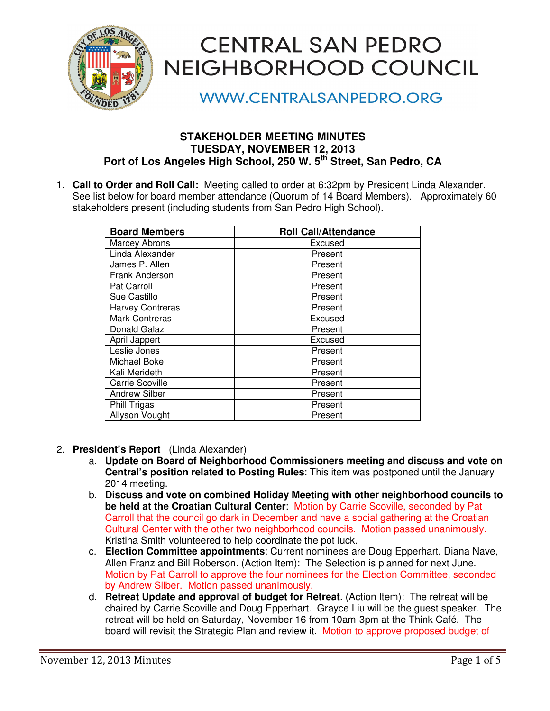

# **CENTRAL SAN PEDRO** NEIGHBORHOOD COUNCIL

**WWW.CENTRALSANPEDRO.ORG** 

## **STAKEHOLDER MEETING MINUTES TUESDAY, NOVEMBER 12, 2013**  Port of Los Angeles High School, 250 W. 5<sup>th</sup> Street, San Pedro, CA

1. **Call to Order and Roll Call:** Meeting called to order at 6:32pm by President Linda Alexander. See list below for board member attendance (Quorum of 14 Board Members). Approximately 60 stakeholders present (including students from San Pedro High School).

| <b>Board Members</b>    | <b>Roll Call/Attendance</b> |
|-------------------------|-----------------------------|
| <b>Marcey Abrons</b>    | Excused                     |
| Linda Alexander         | Present                     |
| James P. Allen          | Present                     |
| Frank Anderson          | Present                     |
| Pat Carroll             | Present                     |
| Sue Castillo            | Present                     |
| <b>Harvey Contreras</b> | Present                     |
| <b>Mark Contreras</b>   | Excused                     |
| Donald Galaz            | Present                     |
| April Jappert           | Excused                     |
| Leslie Jones            | Present                     |
| Michael Boke            | Present                     |
| Kali Merideth           | Present                     |
| <b>Carrie Scoville</b>  | Present                     |
| <b>Andrew Silber</b>    | Present                     |
| Phill Trigas            | Present                     |
| <b>Allyson Vought</b>   | Present                     |

- 2. **President's Report** (Linda Alexander)
	- a. **Update on Board of Neighborhood Commissioners meeting and discuss and vote on Central's position related to Posting Rules**: This item was postponed until the January 2014 meeting.
	- b. **Discuss and vote on combined Holiday Meeting with other neighborhood councils to be held at the Croatian Cultural Center**: Motion by Carrie Scoville, seconded by Pat Carroll that the council go dark in December and have a social gathering at the Croatian Cultural Center with the other two neighborhood councils. Motion passed unanimously. Kristina Smith volunteered to help coordinate the pot luck.
	- c. **Election Committee appointments**: Current nominees are Doug Epperhart, Diana Nave, Allen Franz and Bill Roberson. (Action Item): The Selection is planned for next June. Motion by Pat Carroll to approve the four nominees for the Election Committee, seconded by Andrew Silber. Motion passed unanimously.
	- d. **Retreat Update and approval of budget for Retreat**. (Action Item): The retreat will be chaired by Carrie Scoville and Doug Epperhart. Grayce Liu will be the guest speaker. The retreat will be held on Saturday, November 16 from 10am-3pm at the Think Café. The board will revisit the Strategic Plan and review it. Motion to approve proposed budget of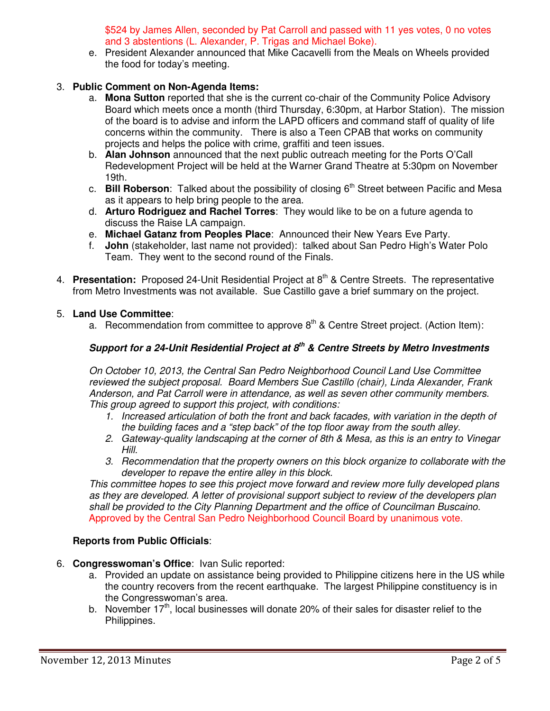\$524 by James Allen, seconded by Pat Carroll and passed with 11 yes votes, 0 no votes and 3 abstentions (L. Alexander, P. Trigas and Michael Boke).

e. President Alexander announced that Mike Cacavelli from the Meals on Wheels provided the food for today's meeting.

### 3. **Public Comment on Non-Agenda Items:**

- a. **Mona Sutton** reported that she is the current co-chair of the Community Police Advisory Board which meets once a month (third Thursday, 6:30pm, at Harbor Station). The mission of the board is to advise and inform the LAPD officers and command staff of quality of life concerns within the community. There is also a Teen CPAB that works on community projects and helps the police with crime, graffiti and teen issues.
- b. **Alan Johnson** announced that the next public outreach meeting for the Ports O'Call Redevelopment Project will be held at the Warner Grand Theatre at 5:30pm on November 19th.
- c. **Bill Roberson**: Talked about the possibility of closing 6<sup>th</sup> Street between Pacific and Mesa as it appears to help bring people to the area.
- d. **Arturo Rodriguez and Rachel Torres**: They would like to be on a future agenda to discuss the Raise LA campaign.
- e. **Michael Gatanz from Peoples Place**: Announced their New Years Eve Party.
- f. **John** (stakeholder, last name not provided): talked about San Pedro High's Water Polo Team. They went to the second round of the Finals.
- 4. **Presentation:** Proposed 24-Unit Residential Project at 8th & Centre Streets. The representative from Metro Investments was not available. Sue Castillo gave a brief summary on the project.

#### 5. **Land Use Committee**:

a. Recommendation from committee to approve  $8<sup>th</sup>$  & Centre Street project. (Action Item):

## **Support for a 24-Unit Residential Project at 8th & Centre Streets by Metro Investments**

On October 10, 2013, the Central San Pedro Neighborhood Council Land Use Committee reviewed the subject proposal. Board Members Sue Castillo (chair), Linda Alexander, Frank Anderson, and Pat Carroll were in attendance, as well as seven other community members. This group agreed to support this project, with conditions:

- 1. Increased articulation of both the front and back facades, with variation in the depth of the building faces and a "step back" of the top floor away from the south alley.
- 2. Gateway-quality landscaping at the corner of 8th & Mesa, as this is an entry to Vinegar Hill.
- 3. Recommendation that the property owners on this block organize to collaborate with the developer to repave the entire alley in this block.

This committee hopes to see this project move forward and review more fully developed plans as they are developed. A letter of provisional support subject to review of the developers plan shall be provided to the City Planning Department and the office of Councilman Buscaino. Approved by the Central San Pedro Neighborhood Council Board by unanimous vote.

### **Reports from Public Officials**:

- 6. **Congresswoman's Office**: Ivan Sulic reported:
	- a. Provided an update on assistance being provided to Philippine citizens here in the US while the country recovers from the recent earthquake. The largest Philippine constituency is in the Congresswoman's area.
	- b. November  $17<sup>th</sup>$ , local businesses will donate 20% of their sales for disaster relief to the Philippines.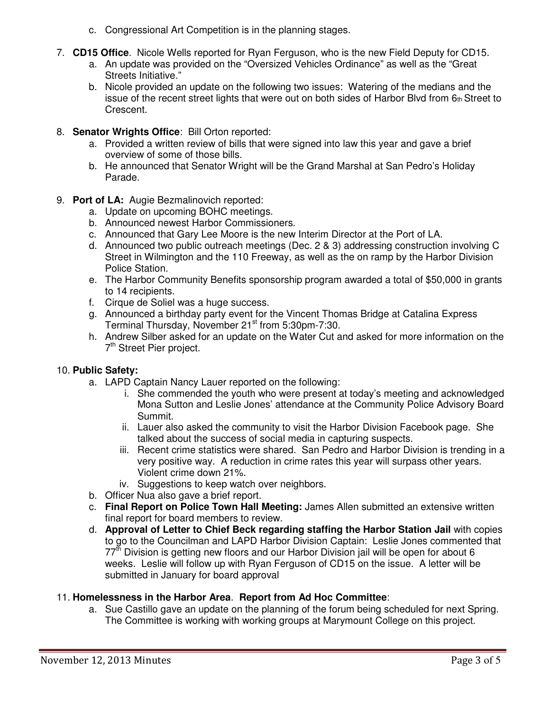- c. Congressional Art Competition is in the planning stages.
- 7. **CD15 Office**. Nicole Wells reported for Ryan Ferguson, who is the new Field Deputy for CD15.
	- a. An update was provided on the "Oversized Vehicles Ordinance" as well as the "Great Streets Initiative."
	- b. Nicole provided an update on the following two issues: Watering of the medians and the issue of the recent street lights that were out on both sides of Harbor Blvd from  $6<sub>th</sub>$  Street to Crescent.
- 8. **Senator Wrights Office**: Bill Orton reported:
	- a. Provided a written review of bills that were signed into law this year and gave a brief overview of some of those bills.
	- b. He announced that Senator Wright will be the Grand Marshal at San Pedro's Holiday Parade.
- 9. **Port of LA:** Augie Bezmalinovich reported:
	- a. Update on upcoming BOHC meetings.
	- b. Announced newest Harbor Commissioners.
	- c. Announced that Gary Lee Moore is the new Interim Director at the Port of LA.
	- d. Announced two public outreach meetings (Dec. 2 & 3) addressing construction involving C Street in Wilmington and the 110 Freeway, as well as the on ramp by the Harbor Division Police Station.
	- e. The Harbor Community Benefits sponsorship program awarded a total of \$50,000 in grants to 14 recipients.
	- f. Cirque de Soliel was a huge success.
	- g. Announced a birthday party event for the Vincent Thomas Bridge at Catalina Express Terminal Thursday, November 21<sup>st</sup> from 5:30pm-7:30.
	- h. Andrew Silber asked for an update on the Water Cut and asked for more information on the 7<sup>th</sup> Street Pier project.

### 10. **Public Safety:**

- a. LAPD Captain Nancy Lauer reported on the following:
	- i. She commended the youth who were present at today's meeting and acknowledged Mona Sutton and Leslie Jones' attendance at the Community Police Advisory Board Summit.
	- ii. Lauer also asked the community to visit the Harbor Division Facebook page. She talked about the success of social media in capturing suspects.
	- iii. Recent crime statistics were shared. San Pedro and Harbor Division is trending in a very positive way. A reduction in crime rates this year will surpass other years. Violent crime down 21%.
	- iv. Suggestions to keep watch over neighbors.
- b. Officer Nua also gave a brief report.
- c. **Final Report on Police Town Hall Meeting:** James Allen submitted an extensive written final report for board members to review.
- d. **Approval of Letter to Chief Beck regarding staffing the Harbor Station Jail** with copies to go to the Councilman and LAPD Harbor Division Captain: Leslie Jones commented that 77<sup>th</sup> Division is getting new floors and our Harbor Division jail will be open for about 6 weeks. Leslie will follow up with Ryan Ferguson of CD15 on the issue. A letter will be submitted in January for board approval

## 11. **Homelessness in the Harbor Area**. **Report from Ad Hoc Committee**:

a. Sue Castillo gave an update on the planning of the forum being scheduled for next Spring. The Committee is working with working groups at Marymount College on this project.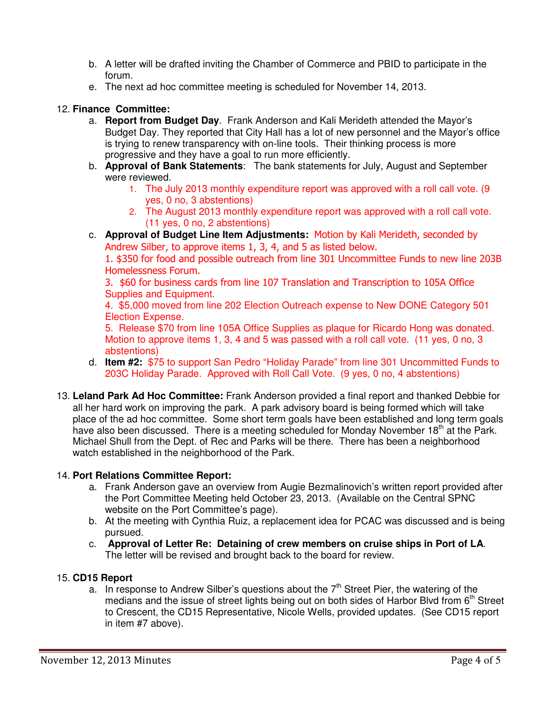- b. A letter will be drafted inviting the Chamber of Commerce and PBID to participate in the forum.
- e. The next ad hoc committee meeting is scheduled for November 14, 2013.

## 12. **Finance Committee:**

- a. **Report from Budget Day**. Frank Anderson and Kali Merideth attended the Mayor's Budget Day. They reported that City Hall has a lot of new personnel and the Mayor's office is trying to renew transparency with on-line tools. Their thinking process is more progressive and they have a goal to run more efficiently.
- b. **Approval of Bank Statements**: The bank statements for July, August and September were reviewed.
	- 1. The July 2013 monthly expenditure report was approved with a roll call vote. (9 yes, 0 no, 3 abstentions)
	- 2. The August 2013 monthly expenditure report was approved with a roll call vote. (11 yes, 0 no, 2 abstentions)
- c. **Approval of Budget Line Item Adjustments:** Motion by Kali Merideth, seconded by Andrew Silber, to approve items 1, 3, 4, and 5 as listed below.

1. \$350 for food and possible outreach from line 301 Uncommittee Funds to new line 203B Homelessness Forum.

3. \$60 for business cards from line 107 Translation and Transcription to 105A Office Supplies and Equipment.

4. \$5,000 moved from line 202 Election Outreach expense to New DONE Category 501 Election Expense.

5. Release \$70 from line 105A Office Supplies as plaque for Ricardo Hong was donated. Motion to approve items 1, 3, 4 and 5 was passed with a roll call vote. (11 yes, 0 no, 3 abstentions)

- d. **Item #2:** \$75 to support San Pedro "Holiday Parade" from line 301 Uncommitted Funds to 203C Holiday Parade. Approved with Roll Call Vote. (9 yes, 0 no, 4 abstentions)
- 13. **Leland Park Ad Hoc Committee:** Frank Anderson provided a final report and thanked Debbie for all her hard work on improving the park. A park advisory board is being formed which will take place of the ad hoc committee. Some short term goals have been established and long term goals have also been discussed. There is a meeting scheduled for Monday November 18<sup>th</sup> at the Park. Michael Shull from the Dept. of Rec and Parks will be there. There has been a neighborhood watch established in the neighborhood of the Park.

## 14. **Port Relations Committee Report:**

- a. Frank Anderson gave an overview from Augie Bezmalinovich's written report provided after the Port Committee Meeting held October 23, 2013.(Available on the Central SPNC website on the Port Committee's page).
- b. At the meeting with Cynthia Ruiz, a replacement idea for PCAC was discussed and is being pursued.
- c. **Approval of Letter Re: Detaining of crew members on cruise ships in Port of LA**. The letter will be revised and brought back to the board for review.

## 15. **CD15 Report**

a. In response to Andrew Silber's questions about the  $7<sup>th</sup>$  Street Pier, the watering of the medians and the issue of street lights being out on both sides of Harbor Blvd from  $6<sup>th</sup>$  Street to Crescent, the CD15 Representative, Nicole Wells, provided updates. (See CD15 report in item #7 above).